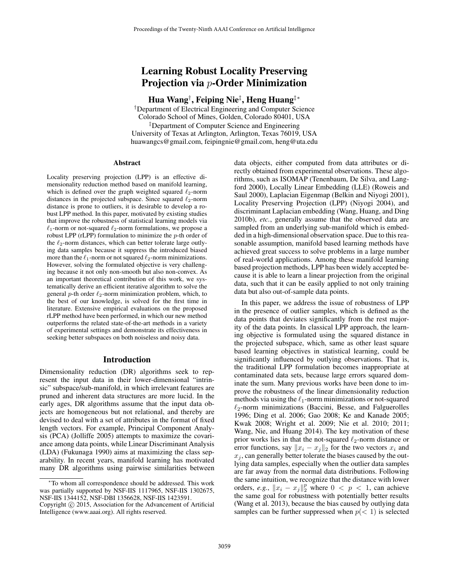# Learning Robust Locality Preserving Projection via p-Order Minimization

Hua Wang† , Feiping Nie‡ , Heng Huang‡∗

†Department of Electrical Engineering and Computer Science Colorado School of Mines, Golden, Colorado 80401, USA ‡Department of Computer Science and Engineering University of Texas at Arlington, Arlington, Texas 76019, USA huawangcs@gmail.com, feipingnie@gmail.com, heng@uta.edu

#### Abstract

Locality preserving projection (LPP) is an effective dimensionality reduction method based on manifold learning, which is defined over the graph weighted squared  $\ell_2$ -norm distances in the projected subspace. Since squared  $\ell_2$ -norm distance is prone to outliers, it is desirable to develop a robust LPP method. In this paper, motivated by existing studies that improve the robustness of statistical learning models via  $\ell_1$ -norm or not-squared  $\ell_2$ -norm formulations, we propose a robust LPP (rLPP) formulation to minimize the  $p$ -th order of the  $\ell_2$ -norm distances, which can better tolerate large outlying data samples because it suppress the introduced biased more than the  $\ell_1$ -norm or not squared  $\ell_2$ -norm minimizations. However, solving the formulated objective is very challenging because it not only non-smooth but also non-convex. As an important theoretical contribution of this work, we systematically derive an efficient iterative algorithm to solve the general  $p$ -th order  $\ell_2$ -norm minimization problem, which, to the best of our knowledge, is solved for the first time in literature. Extensive empirical evaluations on the proposed rLPP method have been performed, in which our new method outperforms the related state-of-the-art methods in a variety of experimental settings and demonstrate its effectiveness in seeking better subspaces on both noiseless and noisy data.

#### Introduction

Dimensionality reduction (DR) algorithms seek to represent the input data in their lower-dimensional "intrinsic" subspace/sub-manifold, in which irrelevant features are pruned and inherent data structures are more lucid. In the early ages, DR algorithms assume that the input data objects are homogeneous but not relational, and thereby are devised to deal with a set of attributes in the format of fixed length vectors. For example, Principal Component Analysis (PCA) (Jolliffe 2005) attempts to maximize the covariance among data points, while Linear Discriminant Analysis (LDA) (Fukunaga 1990) aims at maximizing the class separability. In recent years, manifold learning has motivated many DR algorithms using pairwise similarities between data objects, either computed from data attributes or directly obtained from experimental observations. These algorithms, such as ISOMAP (Tenenbaum, De Silva, and Langford 2000), Locally Linear Embedding (LLE) (Roweis and Saul 2000), Laplacian Eigenmap (Belkin and Niyogi 2001), Locality Preserving Projection (LPP) (Niyogi 2004), and discriminant Laplacian embedding (Wang, Huang, and Ding 2010b), *etc.*, generally assume that the observed data are sampled from an underlying sub-manifold which is embedded in a high-dimensional observation space. Due to this reasonable assumption, manifold based learning methods have achieved great success to solve problems in a large number of real-world applications. Among these manifold learning based projection methods, LPP has been widely accepted because it is able to learn a linear projection from the original data, such that it can be easily applied to not only training data but also out-of-sample data points.

In this paper, we address the issue of robustness of LPP in the presence of outlier samples, which is defined as the data points that deviates significantly from the rest majority of the data points. In classical LPP approach, the learning objective is formulated using the squared distance in the projected subspace, which, same as other least square based learning objectives in statistical learning, could be significantly influenced by outlying observations. That is, the traditional LPP formulation becomes inappropriate at contaminated data sets, because large errors squared dominate the sum. Many previous works have been done to improve the robustness of the linear dimensionality reduction methods via using the  $\ell_1$ -norm minimizations or not-squared  $\ell_2$ -norm minimizations (Baccini, Besse, and Falguerolles 1996; Ding et al. 2006; Gao 2008; Ke and Kanade 2005; Kwak 2008; Wright et al. 2009; Nie et al. 2010; 2011; Wang, Nie, and Huang 2014). The key motivation of these prior works lies in that the not-squared  $\ell_2$ -norm distance or error functions, say  $||x_i - x_j||_2$  for the two vectors  $x_i$  and  $x_i$ , can generally better tolerate the biases caused by the outlying data samples, especially when the outlier data samples are far away from the normal data distributions. Following the same intuition, we recognize that the distance with lower orders, *e.g.*,  $||x_i - x_j||_2^p$  where  $0 < p < 1$ , can achieve<br>the same goal for robustness with potentially better results the same goal for robustness with potentially better results (Wang et al. 2013), because the bias caused by outlying data samples can be further suppressed when  $p \leq 1$  is selected

<sup>∗</sup>To whom all correspondence should be addressed. This work was partially supported by NSF-IIS 1117965, NSF-IIS 1302675, NSF-IIS 1344152, NSF-DBI 1356628, NSF-IIS 1423591.

Copyright  $\odot$  2015, Association for the Advancement of Artificial Intelligence (www.aaai.org). All rights reserved.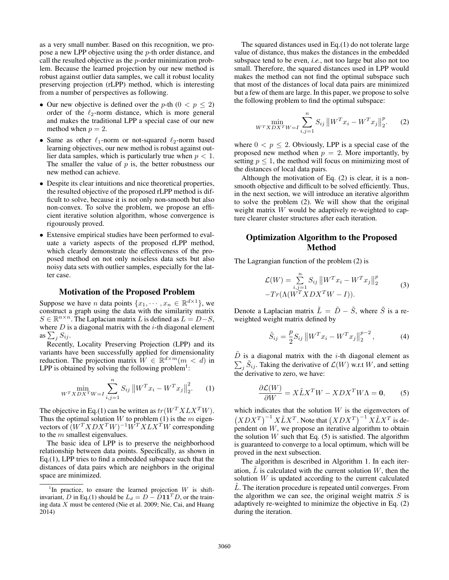as a very small number. Based on this recognition, we propose a new LPP objective using the p-th order distance, and call the resulted objective as the p-order minimization problem. Because the learned projection by our new method is robust against outlier data samples, we call it robust locality preserving projection (rLPP) method, which is interesting from a number of perspectives as following.

- Our new objective is defined over the p-th  $(0 < p \le 2)$ order of the  $\ell_2$ -norm distance, which is more general and makes the traditional LPP a special case of our new method when  $p = 2$ .
- Same as other  $\ell_1$ -norm or not-squared  $\ell_2$ -norm based learning objectives, our new method is robust against outlier data samples, which is particularly true when  $p < 1$ . The smaller the value of  $p$  is, the better robustness our new method can achieve.
- Despite its clear intuitions and nice theoretical properties, the resulted objective of the proposed rLPP method is difficult to solve, because it is not only non-smooth but also non-convex. To solve the problem, we propose an efficient iterative solution algorithm, whose convergence is rigourously proved.
- Extensive empirical studies have been performed to evaluate a variety aspects of the proposed rLPP method, which clearly demonstrate the effectiveness of the proposed method on not only noiseless data sets but also noisy data sets with outlier samples, especially for the latter case.

## Motivation of the Proposed Problem

Suppose we have *n* data points  $\{x_1, \dots, x_n \in \mathbb{R}^{d \times 1}\}$ , we construct a graph using the data with the similarity matrix  $S \in \mathbb{R}^{n \times n}$ . The Laplacian matrix L is defined as  $L = D-S$ , where  $D$  is a diagonal matrix with the  $i$ -th diagonal element as  $\sum_{i} S_{ij}$ .

Recently, Locality Preserving Projection (LPP) and its variants have been successfully applied for dimensionality reduction. The projection matrix  $\hat{W} \in \mathbb{R}^{d \times m}$  ( $m < d$ ) in LPP is obtained by solving the following problem<sup>1</sup>:

$$
\min_{W^T X D X^T W = I} \sum_{i,j=1}^n S_{ij} \| W^T x_i - W^T x_j \|_2^2.
$$
 (1)

The objective in Eq.(1) can be written as  $tr(W^T X L X^T W)$ . Thus the optimal solution  $W$  to problem (1) is the  $m$  eigenvectors of  $(W^T X D X^T W)^{-1} W^T X L X^T W$  corresponding to the  $m$  smallest eigenvalues.

The basic idea of LPP is to preserve the neighborhood relationship between data points. Specifically, as shown in Eq.(1), LPP tries to find a embedded subspace such that the distances of data pairs which are neighbors in the original space are minimized.

The squared distances used in Eq.(1) do not tolerate large value of distance, thus makes the distances in the embedded subspace tend to be even, *i.e.*, not too large but also not too small. Therefore, the squared distances used in LPP would makes the method can not find the optimal subspace such that most of the distances of local data pairs are minimized but a few of them are large. In this paper, we propose to solve the following problem to find the optimal subspace:

$$
\min_{W^T X D X^T W = I} \sum_{i,j=1}^n S_{ij} ||W^T x_i - W^T x_j||_2^p. \tag{2}
$$

where  $0 < p \le 2$ . Obviously, LPP is a special case of the proposed new method when  $p = 2$ . More importantly, by setting  $p \leq 1$ , the method will focus on minimizing most of the distances of local data pairs.

Although the motivation of Eq. (2) is clear, it is a nonsmooth objective and difficult to be solved efficiently. Thus, in the next section, we will introduce an iterative algorithm to solve the problem (2). We will show that the original weight matrix W would be adaptively re-weighted to capture clearer cluster structures after each iteration.

## Optimization Algorithm to the Proposed Method

The Lagrangian function of the problem (2) is

$$
\mathcal{L}(W) = \sum_{i,j=1}^{n} S_{ij} \left\| W^{T} x_{i} - W^{T} x_{j} \right\|_{2}^{p}
$$
  
-
$$
Tr(\Lambda(W^{T} X D X^{T} W - I)).
$$
 (3)

Denote a Laplacian matrix  $\tilde{L} = \tilde{D} - \tilde{S}$ , where  $\tilde{S}$  is a reweighted weight matrix defined by

$$
\tilde{S}_{ij} = \frac{p}{2} S_{ij} ||W^T x_i - W^T x_j||_2^{p-2},
$$
\n(4)

 $\tilde{D}$  is a diagonal matrix with the *i*-th diagonal element as  $\sum_j \tilde{S}_{ij}$ . Taking the derivative of  $\mathcal{L}(W)$  w.r.t W, and setting the derivative to zero, we have: the derivative to zero, we have:

$$
\frac{\partial \mathcal{L}(W)}{\partial W} = X \tilde{L} X^T W - X D X^T W \Lambda = \mathbf{0}, \qquad (5)
$$

which indicates that the solution  $W$  is the eigenvectors of  $(XDX^T)^{-1} X \tilde{L} X^T$ . Note that  $(XDX^T)^{-1} X \tilde{L} X^T$  is dependent on  $W$ , we propose an iterative algorithm to obtain the solution W such that Eq.  $(5)$  is satisfied. The algorithm is guaranteed to converge to a local optimum, which will be proved in the next subsection.

The algorithm is described in Algorithm 1. In each iteration,  $\tilde{L}$  is calculated with the current solution  $W$ , then the solution  $W$  is updated according to the current calculated  $\tilde{L}$ . The iteration procedure is repeated until converges. From the algorithm we can see, the original weight matrix  $S$  is adaptively re-weighted to minimize the objective in Eq. (2) during the iteration.

<sup>&</sup>lt;sup>1</sup>In practice, to ensure the learned projection  $W$  is shiftinvariant, D in Eq.(1) should be  $L_d = D - D \mathbf{1} \mathbf{1}^T D$ , or the training data X must be centered (Nie et al. 2009; Nie, Cai, and Huang 2014)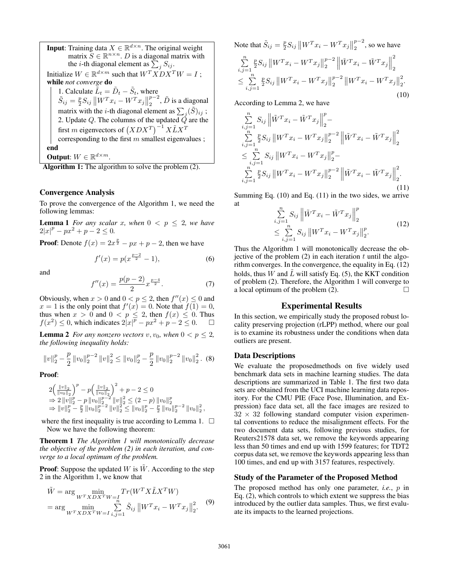**Input**: Training data  $X \in \mathbb{R}^{d \times n}$ . The original weight matrix  $S \in \mathbb{R}^{n \times n}$ . *D* is a diagonal matrix with the *i*-th diagonal element as  $\sum_{i}^{6} S_{ij}$ . Initialize  $W \in \mathbb{R}^{d \times m}$  such that  $W^{T} X D X^{T} W = I$ ; while *not converge* do 1. Calculate  $\tilde{L}_t = \tilde{D}_t - \tilde{S}_t$ , where  $\tilde{S}_t = \frac{p}{r} S_t \frac{||WT_n||}{||WT_n||}$  $\tilde{S}_{ij} = \frac{p}{2} S_{ij} \| W^T x_i - W^T x_j \|_2^{p-2}, \tilde{D}$  is a diagonal matrix with the *i*-th diagonal element as  $\sum_{j} (\tilde{S})_{ij}$ ;<br>2. Update Q. The columns of the updated Q are the first m eigenvectors of  $(XDX^T)^{-1}X\tilde{L}X^T$ corresponding to the first  $m$  smallest eigenvalues ; end Output:  $W \in \mathbb{R}^{d \times m}$ .

Algorithm 1: The algorithm to solve the problem  $(2)$ .

### Convergence Analysis

To prove the convergence of the Algorithm 1, we need the following lemmas:

**Lemma 1** *For any scalar x, when*  $0 \leq p \leq 2$ *, we have*  $2|x|^p - px^2 + p - 2 \leq 0.$ 

**Proof:** Denote  $f(x) = 2x^{\frac{p}{2}} - px + p - 2$ , then we have

$$
f'(x) = p(x^{\frac{p-2}{2}} - 1),
$$
\n(6)

and

$$
f''(x) = \frac{p(p-2)}{2} x^{\frac{p-4}{2}}.
$$
 (7)

Obviously, when  $x > 0$  and  $0 < p \le 2$ , then  $f''(x) \le 0$  and  $x = 1$  is the only point that  $f'(x) = 0$ . Note that  $f(1) = 0$ .  $x = 1$  is the only point that  $f'(x) = 0$ . Note that  $f(1) = 0$ ,<br>thus when  $x > 0$  and  $0 < n < 2$  then  $f(x) < 0$ . Thus thus when  $x > 0$  and  $0 < p \le 2$ , then  $f(x) \le 0$ . Thus  $f(x^2) < 0$  which indicates  $2|x|^p - nx^2 + n - 2 < 0$ f(x<sup>2</sup>)  $\leq$  0, which indicates  $2|x|^{\overline{p}} - px^2 + p - 2 \leq 0$ .  $\Box$ 

**Lemma 2** *For any nonzero vectors*  $v, v_0$ *, when*  $0 < p \le 2$ *, the following inequality holds:*

$$
||v||_2^p - \frac{p}{2} ||v_0||_2^{p-2} ||v||_2^2 \le ||v_0||_2^p - \frac{p}{2} ||v_0||_2^{p-2} ||v_0||_2^2.
$$
 (8)

Proof:

$$
\begin{array}{l}2\Big(\frac{\|v\|_2}{\|v_0\|_2}\Big)^p-p\Big(\frac{\|v\|_2}{\|v_0\|_2}\Big)^2+p-2\leq 0\\ \Rightarrow 2\,\|v\|_2^p-p\,\|v_0\|_2^{p-2}\,\|v\|_2^2\leq (2-p)\,\|v_0\|_2^p\\ \Rightarrow \|v\|_2^p-\frac{p}{2}\,\|v_0\|_2^{p-2}\,\|v\|_2^2\leq \|v_0\|_2^p-\frac{p}{2}\,\|v_0\|_2^{p-2}\,\|v_0\|_2^2\,, \end{array}
$$

where the first inequality is true according to Lemma 1.  $\Box$ Now we have the following theorem:

Theorem 1 *The Algorithm 1 will monotonically decrease the objective of the problem (2) in each iteration, and converge to a local optimum of the problem.*

**Proof:** Suppose the updated W is  $\hat{W}$ . According to the step 2 in the Algorithm 1, we know that

$$
\tilde{W} = \arg \min_{W^T X D X^T W = I \atop W^T X D X^T W = I} Tr(W^T X \tilde{L} X^T W)
$$
  
= 
$$
\arg \min_{W^T X D X^T W = I} \sum_{i,j=1}^n \tilde{S}_{ij} ||W^T x_i - W^T x_j||_2^2.
$$
 (9)

Note that 
$$
\tilde{S}_{ij} = \frac{p}{2} S_{ij} ||W^T x_i - W^T x_j||_2^{p-2}
$$
, so we have  
\n
$$
\sum_{i,j=1}^n \frac{p}{2} S_{ij} ||W^T x_i - W^T x_j||_2^{p-2} ||\tilde{W}^T x_i - \tilde{W}^T x_j||_2^2
$$
\n
$$
\leq \sum_{i,j=1}^n \frac{p}{2} S_{ij} ||W^T x_i - W^T x_j||_2^{p-2} ||W^T x_i - W^T x_j||_2^2.
$$
\n(10)

According to Lemma 2, we have

$$
\sum_{\substack{i,j=1 \ i,j=1}}^{n} S_{ij} \left\| \tilde{W}^T x_i - \tilde{W}^T x_j \right\|_2^p - \sum_{\substack{i,j=1 \ i,j=1}}^{n} \frac{p}{2} S_{ij} \left\| W^T x_i - W^T x_j \right\|_2^{p-2} \left\| \tilde{W}^T x_i - \tilde{W}^T x_j \right\|_2^2
$$
\n
$$
\leq \sum_{\substack{i,j=1 \ i,j=1}}^{n} S_{ij} \left\| W^T x_i - W^T x_j \right\|_2^p - \sum_{\substack{i,j=1 \ i,j=1}}^{n} \frac{p}{2} S_{ij} \left\| W^T x_i - W^T x_j \right\|_2^{p-2} \left\| \tilde{W}^T x_i - \tilde{W}^T x_j \right\|_2^2.
$$
\n(11)

Summing Eq.  $(10)$  and Eq.  $(11)$  in the two sides, we arrive at n  $\overline{p}$ 

$$
\sum_{i,j=1}^{n} S_{ij} \left\| \tilde{W}^T x_i - \tilde{W}^T x_j \right\|_2^p
$$
\n
$$
\leq \sum_{i,j=1}^{n} S_{ij} \left\| W^T x_i - W^T x_j \right\|_2^p. \tag{12}
$$

Thus the Algorithm 1 will monotonically decrease the objective of the problem  $(2)$  in each iteration t until the algorithm converges. In the convergence, the equality in Eq. (12) holds, thus W and  $\tilde{L}$  will satisfy Eq. (5), the KKT condition of problem (2). Therefore, the Algorithm 1 will converge to a local optimum of the problem  $(2)$ .

## Experimental Results

In this section, we empirically study the proposed robust locality preserving projection (rLPP) method, where our goal is to examine its robustness under the conditions when data outliers are present.

#### Data Descriptions

We evaluate the proposedmethods on five widely used benchmark data sets in machine learning studies. The data descriptions are summarized in Table 1. The first two data sets are obtained from the UCI machine learning data repository. For the CMU PIE (Face Pose, Illumination, and Expression) face data set, all the face images are resized to  $32 \times 32$  following standard computer vision experimental conventions to reduce the misalignment effects. For the two document data sets, following previous studies, for Reuters21578 data set, we remove the keywords appearing less than 50 times and end up with 1599 features; for TDT2 corpus data set, we remove the keywords appearing less than 100 times, and end up with 3157 features, respectively.

## Study of the Parameter of the Proposed Method

The proposed method has only one parameter, *i.e.*, p in Eq. (2), which controls to which extent we suppress the bias introduced by the outlier data samples. Thus, we first evaluate its impacts to the learned projections.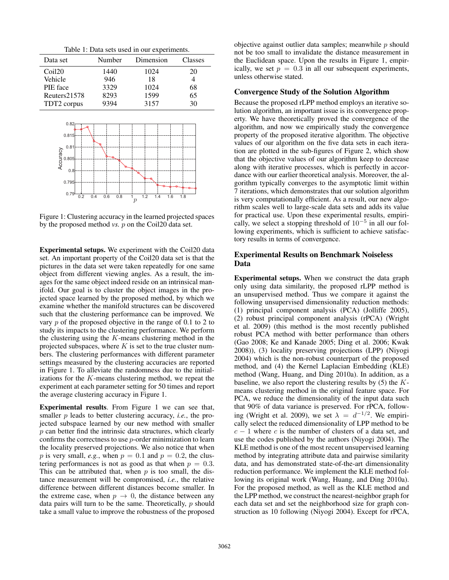Table 1: Data sets used in our experiments.

| Data set                                                                                 | Number            | Dimension                                | Classes |  |
|------------------------------------------------------------------------------------------|-------------------|------------------------------------------|---------|--|
| Coil <sub>20</sub>                                                                       | 1440              | 1024                                     | 20      |  |
| Vehicle                                                                                  | 946               | 18                                       | 4       |  |
| PIE face                                                                                 | 3329              | 1024                                     | 68      |  |
| Reuters21578                                                                             | 8293              | 1599                                     | 65      |  |
| TDT2 corpus                                                                              | 9394              | 3157                                     | 30      |  |
| 0.82<br>0.815<br>0.81<br>Accuracy<br>Accuracy<br>Accuracy<br>0.8<br>0.795<br>0.79<br>0.2 | 0.4<br>0.6<br>0.8 | 1.2<br>1.4<br>1<br>1.6<br>$\overline{p}$ | 1.8     |  |

Figure 1: Clustering accuracy in the learned projected spaces by the proposed method *vs.* p on the Coil20 data set.

Experimental setups. We experiment with the Coil20 data set. An important property of the Coil20 data set is that the pictures in the data set were taken repeatedly for one same object from different viewing angles. As a result, the images for the same object indeed reside on an intrinsical manifold. Our goal is to cluster the object images in the projected space learned by the proposed method, by which we examine whether the manifold structures can be discovered such that the clustering performance can be improved. We vary p of the proposed objective in the range of 0.1 to 2 to study its impacts to the clustering performance. We perform the clustering using the  $K$ -means clustering method in the projected subspaces, where  $K$  is set to the true cluster numbers. The clustering performances with different parameter settings measured by the clustering accuracies are reported in Figure 1. To alleviate the randomness due to the initializations for the  $K$ -means clustering method, we repeat the experiment at each parameter setting for 50 times and report the average clustering accuracy in Figure 1.

Experimental results. From Figure 1 we can see that, smaller p leads to better clustering accuracy, *i.e.*, the projected subspace learned by our new method with smaller  $p$  can better find the intrinsic data structures, which clearly confirms the correctness to use p-order minimization to learn the locality preserved projections. We also notice that when p is very small, *e.g.*, when  $p = 0.1$  and  $p = 0.2$ , the clustering performances is not as good as that when  $p = 0.3$ . This can be attributed that, when  $p$  is too small, the distance measurement will be compromised, *i.e.*, the relative difference between different distances become smaller. In the extreme case, when  $p \rightarrow 0$ , the distance between any data pairs will turn to be the same. Theoretically,  $p$  should take a small value to improve the robustness of the proposed objective against outlier data samples; meanwhile  $p$  should not be too small to invalidate the distance measurement in the Euclidean space. Upon the results in Figure 1, empirically, we set  $p = 0.3$  in all our subsequent experiments, unless otherwise stated.

#### Convergence Study of the Solution Algorithm

Because the proposed rLPP method employs an iterative solution algorithm, an important issue is its convergence property. We have theoretically proved the convergence of the algorithm, and now we empirically study the convergence property of the proposed iterative algorithm. The objective values of our algorithm on the five data sets in each iteration are plotted in the sub-figures of Figure 2, which show that the objective values of our algorithm keep to decrease along with iterative processes, which is perfectly in accordance with our earlier theoretical analysis. Moreover, the algorithm typically converges to the asymptotic limit within 7 iterations, which demonstrates that our solution algorithm is very computationally efficient. As a result, our new algorithm scales well to large-scale data sets and adds its value for practical use. Upon these experimental results, empirically, we select a stopping threshold of  $10^{-5}$  in all our following experiments, which is sufficient to achieve satisfactory results in terms of convergence.

## Experimental Results on Benchmark Noiseless Data

Experimental setups. When we construct the data graph only using data similarity, the proposed rLPP method is an unsupervised method. Thus we compare it against the following unsupervised dimensionality reduction methods: (1) principal component analysis (PCA) (Jolliffe 2005), (2) robust principal component analysis (rPCA) (Wright et al. 2009) (this method is the most recently published robust PCA method with better performance than others (Gao 2008; Ke and Kanade 2005; Ding et al. 2006; Kwak 2008)), (3) locality preserving projections (LPP) (Niyogi 2004) which is the non-robust counterpart of the proposed method, and (4) the Kernel Laplacian Embedding (KLE) method (Wang, Huang, and Ding 2010a). In addition, as a baseline, we also report the clustering results by  $(5)$  the Kmeans clustering method in the original feature space. For PCA, we reduce the dimensionality of the input data such that 90% of data variance is preserved. For rPCA, following (Wright et al. 2009), we set  $\lambda = d^{-1/2}$ . We empirically select the reduced dimensionality of LPP method to be  $c - 1$  where c is the number of clusters of a data set, and use the codes published by the authors (Niyogi 2004). The KLE method is one of the most recent unsupervised learning method by integrating attribute data and pairwise similarity data, and has demonstrated state-of-the-art dimensionality reduction performance. We implement the KLE method following its original work (Wang, Huang, and Ding 2010a). For the proposed method, as well as the KLE method and the LPP method, we construct the nearest-neighbor graph for each data set and set the neighborhood size for graph construction as 10 following (Niyogi 2004). Except for rPCA,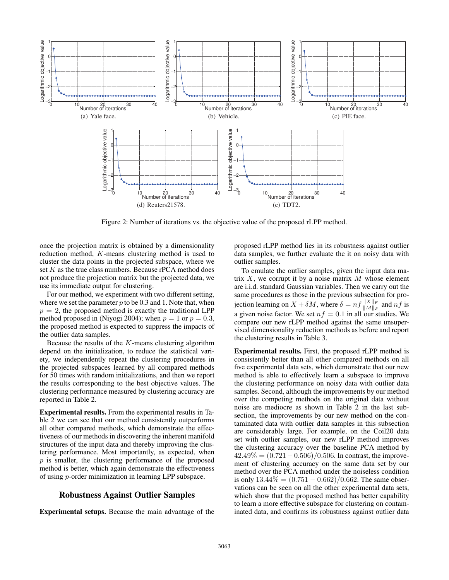

Figure 2: Number of iterations vs. the objective value of the proposed rLPP method.

once the projection matrix is obtained by a dimensionality reduction method, K-means clustering method is used to cluster the data points in the projected subspace, where we set  $K$  as the true class numbers. Because rPCA method does not produce the projection matrix but the projected data, we use its immediate output for clustering.

For our method, we experiment with two different setting, where we set the parameter  $p$  to be 0.3 and 1. Note that, when  $p = 2$ , the proposed method is exactly the traditional LPP method proposed in (Niyogi 2004); when  $p = 1$  or  $p = 0.3$ , the proposed method is expected to suppress the impacts of the outlier data samples.

Because the results of the K-means clustering algorithm depend on the initialization, to reduce the statistical variety, we independently repeat the clustering procedures in the projected subspaces learned by all compared methods for 50 times with random initializations, and then we report the results corresponding to the best objective values. The clustering performance measured by clustering accuracy are reported in Table 2.

Experimental results. From the experimental results in Table 2 we can see that our method consistently outperforms all other compared methods, which demonstrate the effectiveness of our methods in discovering the inherent manifold structures of the input data and thereby improving the clustering performance. Most importantly, as expected, when  $p$  is smaller, the clustering performance of the proposed method is better, which again demonstrate the effectiveness of using p-order minimization in learning LPP subspace.

## Robustness Against Outlier Samples

Experimental setups. Because the main advantage of the

proposed rLPP method lies in its robustness against outlier data samples, we further evaluate the it on noisy data with outlier samples.

To emulate the outlier samples, given the input data matrix  $X$ , we corrupt it by a noise matrix  $M$  whose element are i.i.d. standard Gaussian variables. Then we carry out the same procedures as those in the previous subsection for projection learning on  $X + \delta M$ , where  $\delta = nf \frac{\|X\|_F}{\|M\|_F}$  and  $nf$  is a given noise factor. We set  $nf = 0.1$  in all our studies. We compare our new rLPP method against the same unsupervised dimensionality reduction methods as before and report the clustering results in Table 3.

Experimental results. First, the proposed rLPP method is consistently better than all other compared methods on all five experimental data sets, which demonstrate that our new method is able to effectively learn a subspace to improve the clustering performance on noisy data with outlier data samples. Second, although the improvements by our method over the competing methods on the original data without noise are mediocre as shown in Table 2 in the last subsection, the improvements by our new method on the contaminated data with outlier data samples in this subsection are considerably large. For example, on the Coil20 data set with outlier samples, our new rLPP method improves the clustering accuracy over the baseline PCA method by  $42.49\% = (0.721 - 0.506)/0.506$ . In contrast, the improvement of clustering accuracy on the same data set by our method over the PCA method under the noiseless condition is only  $13.44\% = (0.751 - 0.662)/0.662$ . The same observations can be seen on all the other experimental data sets, which show that the proposed method has better capability to learn a more effective subspace for clustering on contaminated data, and confirms its robustness against outlier data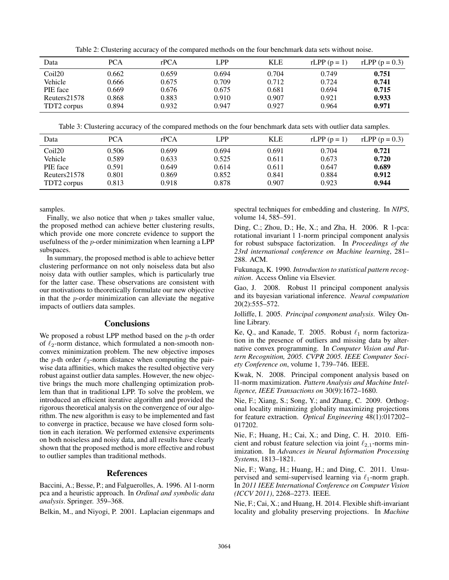Table 2: Clustering accuracy of the compared methods on the four benchmark data sets without noise.

| Data               | <b>PCA</b> | rPCA  | LPP   | KLE   | $rLPP(p=1)$ | rLPP $(p = 0.3)$ |
|--------------------|------------|-------|-------|-------|-------------|------------------|
| Coil <sub>20</sub> | 0.662      | 0.659 | 0.694 | 0.704 | 0.749       | 0.751            |
| Vehicle            | 0.666      | 0.675 | 0.709 | 0.712 | 0.724       | 0.741            |
| PIE face           | 0.669      | 0.676 | 0.675 | 0.681 | 0.694       | 0.715            |
| Reuters21578       | 0.868      | 0.883 | 0.910 | 0.907 | 0.921       | 0.933            |
| TDT2 corpus        | 0.894      | 0.932 | 0.947 | 0.927 | 0.964       | 0.971            |

Table 3: Clustering accuracy of the compared methods on the four benchmark data sets with outlier data samples.

| Data               | <b>PCA</b> | rPCA  | LPP   | KLE   | $rLPP(p=1)$ | rLPP $(p = 0.3)$ |
|--------------------|------------|-------|-------|-------|-------------|------------------|
| Coil <sub>20</sub> | 0.506      | 0.699 | 0.694 | 0.691 | 0.704       | 0.721            |
| Vehicle            | 0.589      | 0.633 | 0.525 | 0.611 | 0.673       | 0.720            |
| PIE face           | 0.591      | 0.649 | 0.614 | 0.611 | 0.647       | 0.689            |
| Reuters21578       | 0.801      | 0.869 | 0.852 | 0.841 | 0.884       | 0.912            |
| TDT2 corpus        | 0.813      | 0.918 | 0.878 | 0.907 | 0.923       | 0.944            |

samples.

Finally, we also notice that when  $p$  takes smaller value, the proposed method can achieve better clustering results, which provide one more concrete evidence to support the usefulness of the p-order minimization when learning a LPP subspaces.

In summary, the proposed method is able to achieve better clustering performance on not only noiseless data but also noisy data with outlier samples, which is particularly true for the latter case. These observations are consistent with our motivations to theoretically formulate our new objective in that the  $p$ -order minimization can alleviate the negative impacts of outliers data samples.

## **Conclusions**

We proposed a robust LPP method based on the *p*-th order of  $\ell_2$ -norm distance, which formulated a non-smooth nonconvex minimization problem. The new objective imposes the p-th order  $\ell_2$ -norm distance when computing the pairwise data affinities, which makes the resulted objective very robust against outlier data samples. However, the new objective brings the much more challenging optimization problem than that in traditional LPP. To solve the problem, we introduced an efficient iterative algorithm and provided the rigorous theoretical analysis on the convergence of our algorithm. The new algorithm is easy to be implemented and fast to converge in practice, because we have closed form solution in each iteration. We performed extensive experiments on both noiseless and noisy data, and all results have clearly shown that the proposed method is more effective and robust to outlier samples than traditional methods.

## References

Baccini, A.; Besse, P.; and Falguerolles, A. 1996. Al 1-norm pca and a heuristic approach. In *Ordinal and symbolic data analysis*. Springer. 359–368.

Belkin, M., and Niyogi, P. 2001. Laplacian eigenmaps and

spectral techniques for embedding and clustering. In *NIPS*, volume 14, 585–591.

Ding, C.; Zhou, D.; He, X.; and Zha, H. 2006. R 1-pca: rotational invariant l 1-norm principal component analysis for robust subspace factorization. In *Proceedings of the 23rd international conference on Machine learning*, 281– 288. ACM.

Fukunaga, K. 1990. *Introduction to statistical pattern recognition*. Access Online via Elsevier.

Gao, J. 2008. Robust l1 principal component analysis and its bayesian variational inference. *Neural computation* 20(2):555–572.

Jolliffe, I. 2005. *Principal component analysis*. Wiley Online Library.

Ke, Q., and Kanade, T. 2005. Robust  $\ell_1$  norm factorization in the presence of outliers and missing data by alternative convex programming. In *Computer Vision and Pattern Recognition, 2005. CVPR 2005. IEEE Computer Society Conference on*, volume 1, 739–746. IEEE.

Kwak, N. 2008. Principal component analysis based on l1-norm maximization. *Pattern Analysis and Machine Intelligence, IEEE Transactions on* 30(9):1672–1680.

Nie, F.; Xiang, S.; Song, Y.; and Zhang, C. 2009. Orthogonal locality minimizing globality maximizing projections for feature extraction. *Optical Engineering* 48(1):017202– 017202.

Nie, F.; Huang, H.; Cai, X.; and Ding, C. H. 2010. Efficient and robust feature selection via joint  $\ell_{2,1}$ -norms minimization. In *Advances in Neural Information Processing Systems*, 1813–1821.

Nie, F.; Wang, H.; Huang, H.; and Ding, C. 2011. Unsupervised and semi-supervised learning via  $\ell_1$ -norm graph. In *2011 IEEE International Conference on Computer Vision (ICCV 2011)*, 2268–2273. IEEE.

Nie, F.; Cai, X.; and Huang, H. 2014. Flexible shift-invariant locality and globality preserving projections. In *Machine*